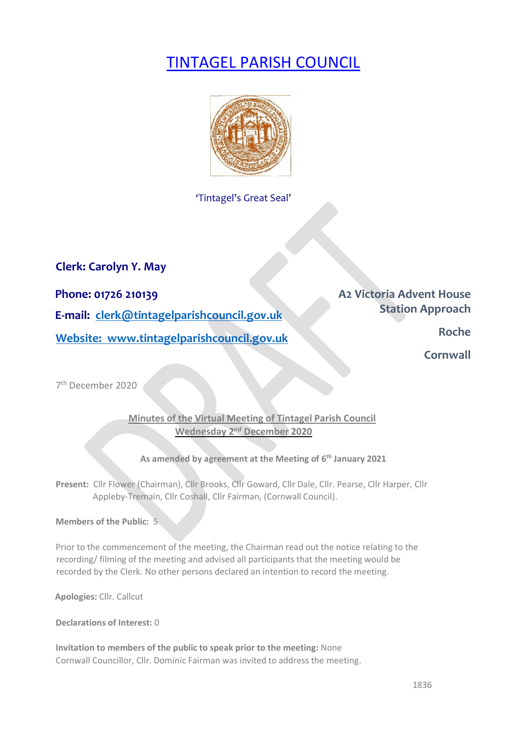# TINTAGEL PARISH COUNCIL



'Tintagel's Great Seal'

**Clerk: Carolyn Y. May** 

**Phone: 01726 210139 Phone: 01726 210139 E-mail: clerk@tintagelparishcouncil.gov.uk Station Approach Website:** www.tintagelparishcouncil.gov.uk

**Cornwall Cornwall** 

7th December 2020

## **Minutes of the Virtual Meeting of Tintagel Parish Council Wednesday 2nd December 2020**

### **As amended by agreement at the Meeting of 6th January 2021**

**Present:** Cllr Flower (Chairman), Cllr Brooks, Cllr Goward, Cllr Dale, Cllr. Pearse, Cllr Harper, Cllr Appleby-Tremain, Cllr Coshall, Cllr Fairman, (Cornwall Council).

**Members of the Public:** 5

Prior to the commencement of the meeting, the Chairman read out the notice relating to the recording/ filming of the meeting and advised all participants that the meeting would be recorded by the Clerk. No other persons declared an intention to record the meeting.

**Apologies:** Cllr. Callcut

**Declarations of Interest:** 0

**Invitation to members of the public to speak prior to the meeting:** None Cornwall Councillor, Cllr. Dominic Fairman was invited to address the meeting.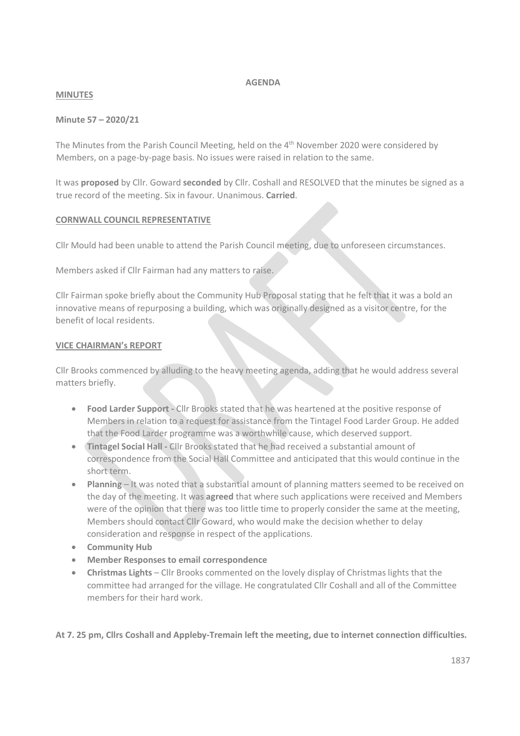#### **AGENDA**

#### **MINUTES**

#### **Minute 57 – 2020/21**

The Minutes from the Parish Council Meeting, held on the  $4<sup>th</sup>$  November 2020 were considered by Members, on a page-by-page basis. No issues were raised in relation to the same.

It was **proposed** by Cllr. Goward **seconded** by Cllr. Coshall and RESOLVED that the minutes be signed as a true record of the meeting. Six in favour. Unanimous. **Carried**.

#### **CORNWALL COUNCIL REPRESENTATIVE**

Cllr Mould had been unable to attend the Parish Council meeting, due to unforeseen circumstances.

Members asked if Cllr Fairman had any matters to raise.

Cllr Fairman spoke briefly about the Community Hub Proposal stating that he felt that it was a bold an innovative means of repurposing a building, which was originally designed as a visitor centre, for the benefit of local residents.

#### **VICE CHAIRMAN's REPORT**

Cllr Brooks commenced by alluding to the heavy meeting agenda, adding that he would address several matters briefly.

- **Food Larder Support -** Cllr Brooks stated that he was heartened at the positive response of Members in relation to a request for assistance from the Tintagel Food Larder Group. He added that the Food Larder programme was a worthwhile cause, which deserved support.
- **Tintagel Social Hall -** Cllr Brooks stated that he had received a substantial amount of correspondence from the Social Hall Committee and anticipated that this would continue in the short term.
- **Planning** It was noted that a substantial amount of planning matters seemed to be received on the day of the meeting. It was **agreed** that where such applications were received and Members were of the opinion that there was too little time to properly consider the same at the meeting, Members should contact Cllr Goward, who would make the decision whether to delay consideration and response in respect of the applications.
- **Community Hub**
- **Member Responses to email correspondence**
- **Christmas Lights** Cllr Brooks commented on the lovely display of Christmas lights that the committee had arranged for the village. He congratulated Cllr Coshall and all of the Committee members for their hard work.

**At 7. 25 pm, Cllrs Coshall and Appleby-Tremain left the meeting, due to internet connection difficulties.**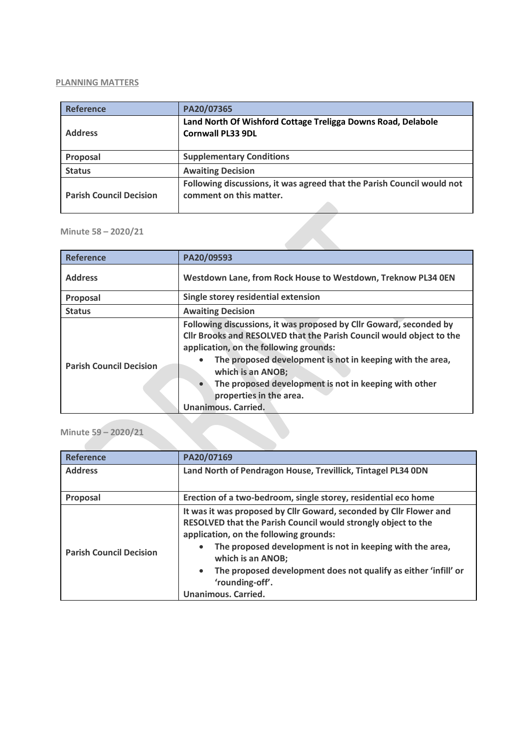#### **PLANNING MATTERS**

| <b>Reference</b>               | PA20/07365                                                                                        |
|--------------------------------|---------------------------------------------------------------------------------------------------|
| <b>Address</b>                 | Land North Of Wishford Cottage Treligga Downs Road, Delabole<br><b>Cornwall PL33 9DL</b>          |
| Proposal                       | <b>Supplementary Conditions</b>                                                                   |
| <b>Status</b>                  | <b>Awaiting Decision</b>                                                                          |
| <b>Parish Council Decision</b> | Following discussions, it was agreed that the Parish Council would not<br>comment on this matter. |

#### **Minute 58 – 2020/21**

| <b>Reference</b>               | PA20/09593                                                                                                                                                                                                                                                                                                                                                                                            |
|--------------------------------|-------------------------------------------------------------------------------------------------------------------------------------------------------------------------------------------------------------------------------------------------------------------------------------------------------------------------------------------------------------------------------------------------------|
| <b>Address</b>                 | Westdown Lane, from Rock House to Westdown, Treknow PL34 0EN                                                                                                                                                                                                                                                                                                                                          |
| Proposal                       | Single storey residential extension                                                                                                                                                                                                                                                                                                                                                                   |
| <b>Status</b>                  | <b>Awaiting Decision</b>                                                                                                                                                                                                                                                                                                                                                                              |
| <b>Parish Council Decision</b> | Following discussions, it was proposed by Cllr Goward, seconded by<br>Cllr Brooks and RESOLVED that the Parish Council would object to the<br>application, on the following grounds:<br>The proposed development is not in keeping with the area,<br>which is an ANOB;<br>The proposed development is not in keeping with other<br>$\bullet$<br>properties in the area.<br><b>Unanimous. Carried.</b> |

## **Minute 59 – 2020/21**

| Reference                      | PA20/07169                                                                                                                                                                                                                                                                                                                                                                          |
|--------------------------------|-------------------------------------------------------------------------------------------------------------------------------------------------------------------------------------------------------------------------------------------------------------------------------------------------------------------------------------------------------------------------------------|
| <b>Address</b>                 | Land North of Pendragon House, Trevillick, Tintagel PL34 0DN                                                                                                                                                                                                                                                                                                                        |
| Proposal                       | Erection of a two-bedroom, single storey, residential eco home                                                                                                                                                                                                                                                                                                                      |
| <b>Parish Council Decision</b> | It was it was proposed by Cllr Goward, seconded by Cllr Flower and<br>RESOLVED that the Parish Council would strongly object to the<br>application, on the following grounds:<br>The proposed development is not in keeping with the area,<br>which is an ANOB;<br>The proposed development does not qualify as either 'infill' or<br>'rounding-off'.<br><b>Unanimous. Carried.</b> |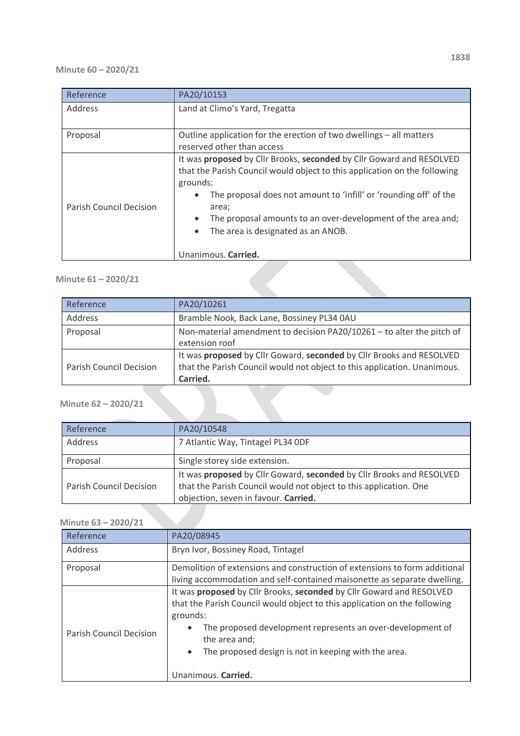#### **Minute 60 – 2020/21**

| Address<br>Proposal                                   | Land at Climo's Yard, Tregatta                                                                                                                                                                                                                                                                                                                                              |
|-------------------------------------------------------|-----------------------------------------------------------------------------------------------------------------------------------------------------------------------------------------------------------------------------------------------------------------------------------------------------------------------------------------------------------------------------|
|                                                       |                                                                                                                                                                                                                                                                                                                                                                             |
|                                                       |                                                                                                                                                                                                                                                                                                                                                                             |
|                                                       | Outline application for the erection of two dwellings - all matters                                                                                                                                                                                                                                                                                                         |
|                                                       | reserved other than access                                                                                                                                                                                                                                                                                                                                                  |
| <b>Parish Council Decision</b><br>Unanimous. Carried. | It was proposed by Cllr Brooks, seconded by Cllr Goward and RESOLVED<br>that the Parish Council would object to this application on the following<br>grounds:<br>The proposal does not amount to 'infill' or 'rounding off' of the<br>area;<br>The proposal amounts to an over-development of the area and;<br>$\bullet$<br>The area is designated as an ANOB.<br>$\bullet$ |

## **Minute 61 – 2020/21**

| Reference                      | PA20/10261                                                               |
|--------------------------------|--------------------------------------------------------------------------|
| Address                        | Bramble Nook, Back Lane, Bossiney PL34 0AU                               |
| Proposal                       | Non-material amendment to decision PA20/10261 - to alter the pitch of    |
|                                | extension roof                                                           |
|                                | It was proposed by Cllr Goward, seconded by Cllr Brooks and RESOLVED     |
| <b>Parish Council Decision</b> | that the Parish Council would not object to this application. Unanimous. |
|                                | Carried.                                                                 |
|                                |                                                                          |
| Minute 62 - 2020/21            |                                                                          |

## **Minute 62 – 2020/21**

| Reference               | PA20/10548                                                                                                                                                                        |
|-------------------------|-----------------------------------------------------------------------------------------------------------------------------------------------------------------------------------|
| Address                 | 7 Atlantic Way, Tintagel PL34 ODF                                                                                                                                                 |
| Proposal                | Single storey side extension.                                                                                                                                                     |
| Parish Council Decision | It was proposed by Cllr Goward, seconded by Cllr Brooks and RESOLVED<br>that the Parish Council would not object to this application. One<br>objection, seven in favour. Carried. |

## **Minute 63 – 2020/21**

| Reference               | PA20/08945                                                                                                                                                                                                                                                                                                                                            |
|-------------------------|-------------------------------------------------------------------------------------------------------------------------------------------------------------------------------------------------------------------------------------------------------------------------------------------------------------------------------------------------------|
| Address                 | Bryn Ivor, Bossiney Road, Tintagel                                                                                                                                                                                                                                                                                                                    |
| Proposal                | Demolition of extensions and construction of extensions to form additional<br>living accommodation and self-contained maisonette as separate dwelling.                                                                                                                                                                                                |
| Parish Council Decision | It was proposed by Cllr Brooks, seconded by Cllr Goward and RESOLVED<br>that the Parish Council would object to this application on the following<br>grounds:<br>The proposed development represents an over-development of<br>$\bullet$<br>the area and;<br>The proposed design is not in keeping with the area.<br>$\bullet$<br>Unanimous. Carried. |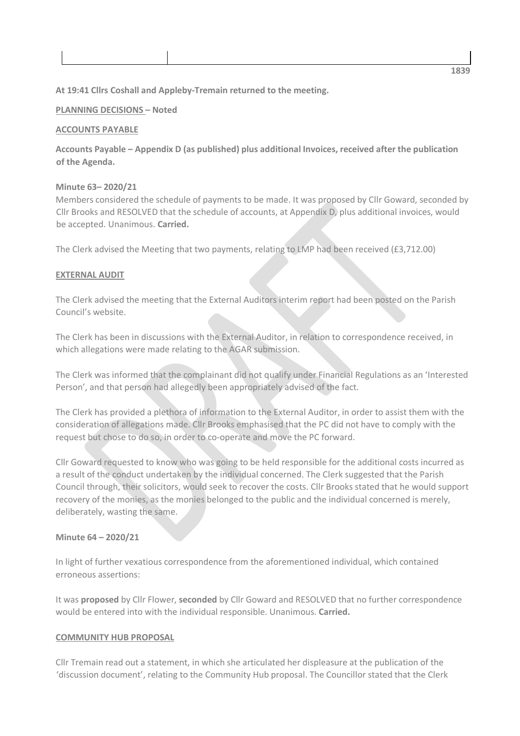#### **At 19:41 Cllrs Coshall and Appleby-Tremain returned to the meeting.**

#### **PLANNING DECISIONS – Noted**

#### **ACCOUNTS PAYABLE**

**Accounts Payable – Appendix D (as published) plus additional Invoices, received after the publication of the Agenda.**

#### **Minute 63– 2020/21**

Members considered the schedule of payments to be made. It was proposed by Cllr Goward, seconded by Cllr Brooks and RESOLVED that the schedule of accounts, at Appendix D, plus additional invoices, would be accepted. Unanimous. **Carried.**

The Clerk advised the Meeting that two payments, relating to LMP had been received (£3,712.00)

#### **EXTERNAL AUDIT**

The Clerk advised the meeting that the External Auditors interim report had been posted on the Parish Council's website.

The Clerk has been in discussions with the External Auditor, in relation to correspondence received, in which allegations were made relating to the AGAR submission.

The Clerk was informed that the complainant did not qualify under Financial Regulations as an 'Interested Person', and that person had allegedly been appropriately advised of the fact.

The Clerk has provided a plethora of information to the External Auditor, in order to assist them with the consideration of allegations made. Cllr Brooks emphasised that the PC did not have to comply with the request but chose to do so, in order to co-operate and move the PC forward.

Cllr Goward requested to know who was going to be held responsible for the additional costs incurred as a result of the conduct undertaken by the individual concerned. The Clerk suggested that the Parish Council through, their solicitors, would seek to recover the costs. Cllr Brooks stated that he would support recovery of the monies, as the monies belonged to the public and the individual concerned is merely, deliberately, wasting the same.

#### **Minute 64 – 2020/21**

In light of further vexatious correspondence from the aforementioned individual, which contained erroneous assertions:

It was **proposed** by Cllr Flower, **seconded** by Cllr Goward and RESOLVED that no further correspondence would be entered into with the individual responsible. Unanimous. **Carried.**

#### **COMMUNITY HUB PROPOSAL**

Cllr Tremain read out a statement, in which she articulated her displeasure at the publication of the 'discussion document', relating to the Community Hub proposal. The Councillor stated that the Clerk

**1839**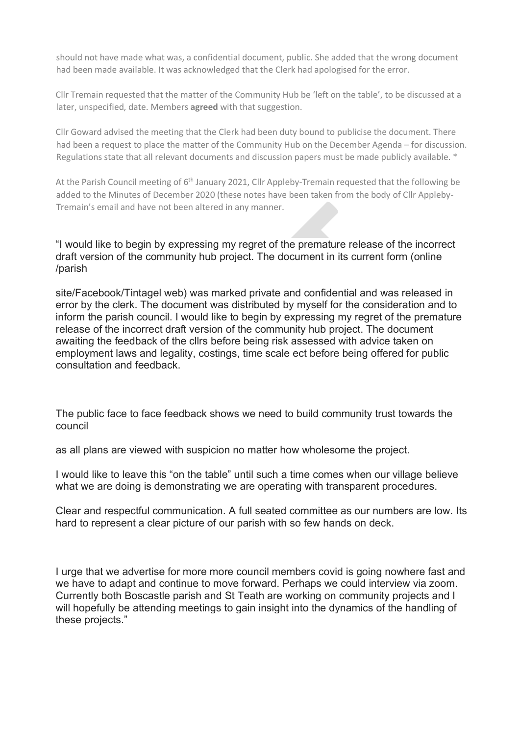should not have made what was, a confidential document, public. She added that the wrong document had been made available. It was acknowledged that the Clerk had apologised for the error.

Cllr Tremain requested that the matter of the Community Hub be 'left on the table', to be discussed at a later, unspecified, date. Members **agreed** with that suggestion.

Cllr Goward advised the meeting that the Clerk had been duty bound to publicise the document. There had been a request to place the matter of the Community Hub on the December Agenda – for discussion. Regulations state that all relevant documents and discussion papers must be made publicly available. \*

At the Parish Council meeting of 6<sup>th</sup> January 2021, Cllr Appleby-Tremain requested that the following be added to the Minutes of December 2020 (these notes have been taken from the body of Cllr Appleby-Tremain's email and have not been altered in any manner.

"I would like to begin by expressing my regret of the premature release of the incorrect draft version of the community hub project. The document in its current form (online /parish

site/Facebook/Tintagel web) was marked private and confidential and was released in error by the clerk. The document was distributed by myself for the consideration and to inform the parish council. I would like to begin by expressing my regret of the premature release of the incorrect draft version of the community hub project. The document awaiting the feedback of the cllrs before being risk assessed with advice taken on employment laws and legality, costings, time scale ect before being offered for public consultation and feedback.

The public face to face feedback shows we need to build community trust towards the council

as all plans are viewed with suspicion no matter how wholesome the project.

I would like to leave this "on the table" until such a time comes when our village believe what we are doing is demonstrating we are operating with transparent procedures.

Clear and respectful communication. A full seated committee as our numbers are low. Its hard to represent a clear picture of our parish with so few hands on deck.

I urge that we advertise for more more council members covid is going nowhere fast and we have to adapt and continue to move forward. Perhaps we could interview via zoom. Currently both Boscastle parish and St Teath are working on community projects and I will hopefully be attending meetings to gain insight into the dynamics of the handling of these projects."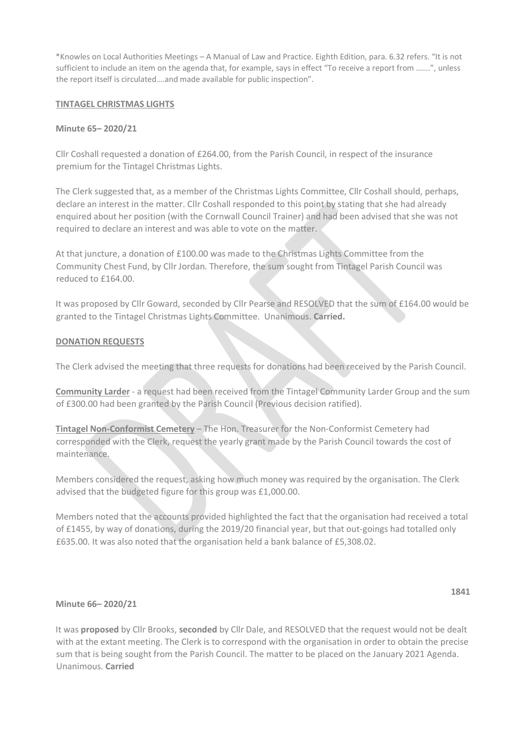\*Knowles on Local Authorities Meetings – A Manual of Law and Practice. Eighth Edition, para. 6.32 refers. "It is not sufficient to include an item on the agenda that, for example, says in effect "To receive a report from …….", unless the report itself is circulated….and made available for public inspection".

#### **TINTAGEL CHRISTMAS LIGHTS**

#### **Minute 65– 2020/21**

Cllr Coshall requested a donation of £264.00, from the Parish Council, in respect of the insurance premium for the Tintagel Christmas Lights.

The Clerk suggested that, as a member of the Christmas Lights Committee, Cllr Coshall should, perhaps, declare an interest in the matter. Cllr Coshall responded to this point by stating that she had already enquired about her position (with the Cornwall Council Trainer) and had been advised that she was not required to declare an interest and was able to vote on the matter.

At that juncture, a donation of £100.00 was made to the Christmas Lights Committee from the Community Chest Fund, by Cllr Jordan. Therefore, the sum sought from Tintagel Parish Council was reduced to £164.00.

It was proposed by Cllr Goward, seconded by Cllr Pearse and RESOLVED that the sum of £164.00 would be granted to the Tintagel Christmas Lights Committee. Unanimous. **Carried.**

#### **DONATION REQUESTS**

The Clerk advised the meeting that three requests for donations had been received by the Parish Council.

**Community Larder** - a request had been received from the Tintagel Community Larder Group and the sum of £300.00 had been granted by the Parish Council (Previous decision ratified).

**Tintagel Non-Conformist Cemetery** – The Hon. Treasurer for the Non-Conformist Cemetery had corresponded with the Clerk, request the yearly grant made by the Parish Council towards the cost of maintenance.

Members considered the request, asking how much money was required by the organisation. The Clerk advised that the budgeted figure for this group was £1,000.00.

Members noted that the accounts provided highlighted the fact that the organisation had received a total of £1455, by way of donations, during the 2019/20 financial year, but that out-goings had totalled only £635.00. It was also noted that the organisation held a bank balance of £5,308.02.

#### **Minute 66– 2020/21**

It was **proposed** by Cllr Brooks, **seconded** by Cllr Dale, and RESOLVED that the request would not be dealt with at the extant meeting. The Clerk is to correspond with the organisation in order to obtain the precise sum that is being sought from the Parish Council. The matter to be placed on the January 2021 Agenda. Unanimous. **Carried**

#### **1841**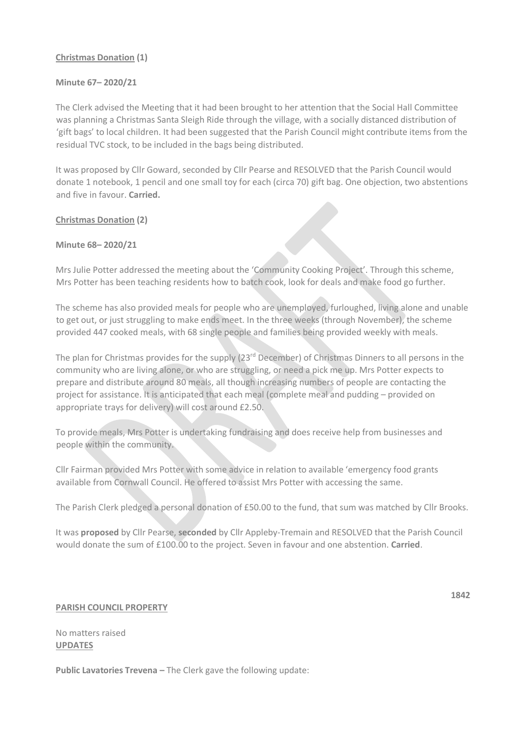#### **Christmas Donation (1)**

#### **Minute 67– 2020/21**

The Clerk advised the Meeting that it had been brought to her attention that the Social Hall Committee was planning a Christmas Santa Sleigh Ride through the village, with a socially distanced distribution of 'gift bags' to local children. It had been suggested that the Parish Council might contribute items from the residual TVC stock, to be included in the bags being distributed.

It was proposed by Cllr Goward, seconded by Cllr Pearse and RESOLVED that the Parish Council would donate 1 notebook, 1 pencil and one small toy for each (circa 70) gift bag. One objection, two abstentions and five in favour. **Carried.**

#### **Christmas Donation (2)**

#### **Minute 68– 2020/21**

Mrs Julie Potter addressed the meeting about the 'Community Cooking Project'. Through this scheme, Mrs Potter has been teaching residents how to batch cook, look for deals and make food go further.

The scheme has also provided meals for people who are unemployed, furloughed, living alone and unable to get out, or just struggling to make ends meet. In the three weeks (through November), the scheme provided 447 cooked meals, with 68 single people and families being provided weekly with meals.

The plan for Christmas provides for the supply  $(23<sup>rd</sup> December)$  of Christmas Dinners to all persons in the community who are living alone, or who are struggling, or need a pick me up. Mrs Potter expects to prepare and distribute around 80 meals, all though increasing numbers of people are contacting the project for assistance. It is anticipated that each meal (complete meal and pudding – provided on appropriate trays for delivery) will cost around £2.50.

To provide meals, Mrs Potter is undertaking fundraising and does receive help from businesses and people within the community.

Cllr Fairman provided Mrs Potter with some advice in relation to available 'emergency food grants available from Cornwall Council. He offered to assist Mrs Potter with accessing the same.

The Parish Clerk pledged a personal donation of £50.00 to the fund, that sum was matched by Cllr Brooks.

It was **proposed** by Cllr Pearse, **seconded** by Cllr Appleby-Tremain and RESOLVED that the Parish Council would donate the sum of £100.00 to the project. Seven in favour and one abstention. **Carried**.

#### **PARISH COUNCIL PROPERTY**

No matters raised **UPDATES**

**Public Lavatories Trevena –** The Clerk gave the following update:

**1842**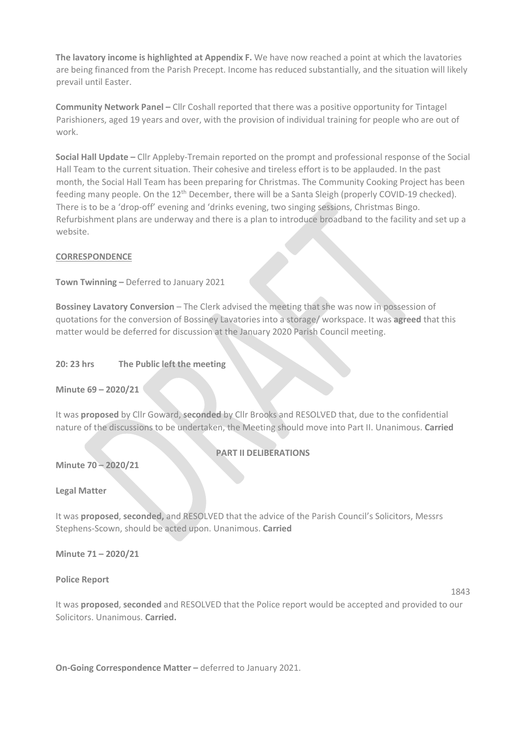**The lavatory income is highlighted at Appendix F.** We have now reached a point at which the lavatories are being financed from the Parish Precept. Income has reduced substantially, and the situation will likely prevail until Easter.

**Community Network Panel –** Cllr Coshall reported that there was a positive opportunity for Tintagel Parishioners, aged 19 years and over, with the provision of individual training for people who are out of work.

**Social Hall Update –** Cllr Appleby-Tremain reported on the prompt and professional response of the Social Hall Team to the current situation. Their cohesive and tireless effort is to be applauded. In the past month, the Social Hall Team has been preparing for Christmas. The Community Cooking Project has been feeding many people. On the 12<sup>th</sup> December, there will be a Santa Sleigh (properly COVID-19 checked). There is to be a 'drop-off' evening and 'drinks evening, two singing sessions, Christmas Bingo. Refurbishment plans are underway and there is a plan to introduce broadband to the facility and set up a website.

#### **CORRESPONDENCE**

**Town Twinning –** Deferred to January 2021

**Bossiney Lavatory Conversion** – The Clerk advised the meeting that she was now in possession of quotations for the conversion of Bossiney Lavatories into a storage/ workspace. It was **agreed** that this matter would be deferred for discussion at the January 2020 Parish Council meeting.

#### **20: 23 hrs The Public left the meeting**

**Minute 69 – 2020/21**

It was **proposed** by Cllr Goward, **seconded** by Cllr Brooks and RESOLVED that, due to the confidential nature of the discussions to be undertaken, the Meeting should move into Part II. Unanimous. **Carried**

#### **PART II DELIBERATIONS**

**Minute 70 – 2020/21**

**Legal Matter**

It was **proposed**, **seconded,** and RESOLVED that the advice of the Parish Council's Solicitors, Messrs Stephens-Scown, should be acted upon. Unanimous. **Carried**

**Minute 71 – 2020/21**

**Police Report**

1843

It was **proposed**, **seconded** and RESOLVED that the Police report would be accepted and provided to our Solicitors. Unanimous. **Carried.**

**On-Going Correspondence Matter –** deferred to January 2021.